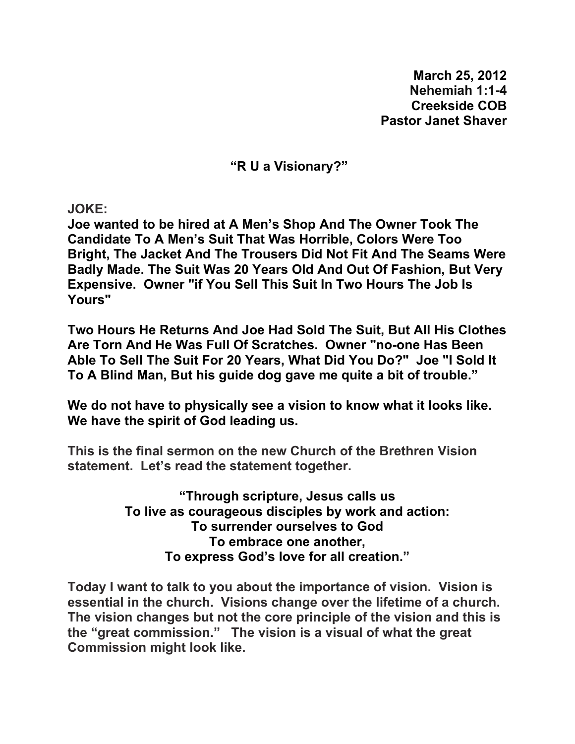**March 25, 2012 Nehemiah 1:1-4 Creekside COB Pastor Janet Shaver** 

**"R U a Visionary?"** 

**JOKE:** 

**Joe wanted to be hired at A Men's Shop And The Owner Took The Candidate To A Men's Suit That Was Horrible, Colors Were Too Bright, The Jacket And The Trousers Did Not Fit And The Seams Were Badly Made. The Suit Was 20 Years Old And Out Of Fashion, But Very Expensive. Owner "if You Sell This Suit In Two Hours The Job Is Yours"** 

**Two Hours He Returns And Joe Had Sold The Suit, But All His Clothes Are Torn And He Was Full Of Scratches. Owner "no-one Has Been Able To Sell The Suit For 20 Years, What Did You Do?" Joe "I Sold It To A Blind Man, But his guide dog gave me quite a bit of trouble."** 

**We do not have to physically see a vision to know what it looks like. We have the spirit of God leading us.** 

**This is the final sermon on the new Church of the Brethren Vision statement. Let's read the statement together.** 

> **"Through scripture, Jesus calls us To live as courageous disciples by work and action: To surrender ourselves to God To embrace one another, To express God's love for all creation."**

**Today I want to talk to you about the importance of vision. Vision is essential in the church. Visions change over the lifetime of a church. The vision changes but not the core principle of the vision and this is the "great commission." The vision is a visual of what the great Commission might look like.**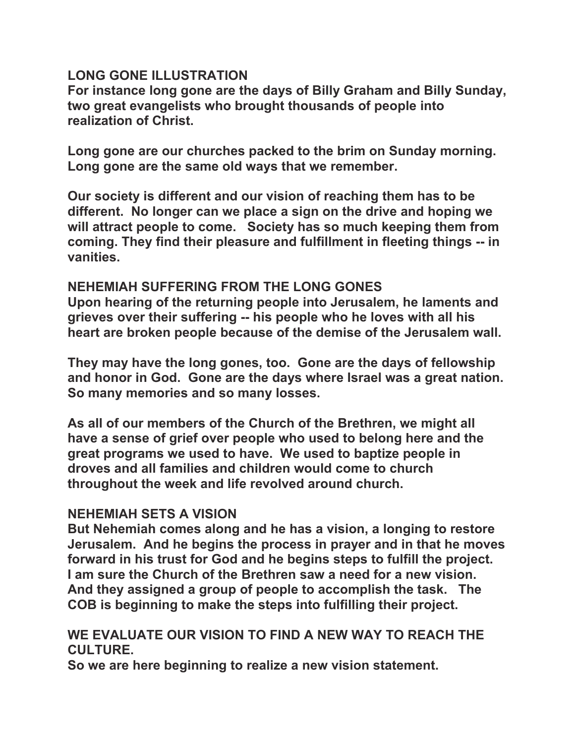## **LONG GONE ILLUSTRATION**

**For instance long gone are the days of Billy Graham and Billy Sunday, two great evangelists who brought thousands of people into realization of Christ.** 

**Long gone are our churches packed to the brim on Sunday morning. Long gone are the same old ways that we remember.** 

**Our society is different and our vision of reaching them has to be different. No longer can we place a sign on the drive and hoping we will attract people to come. Society has so much keeping them from coming. They find their pleasure and fulfillment in fleeting things -- in vanities.** 

### **NEHEMIAH SUFFERING FROM THE LONG GONES**

**Upon hearing of the returning people into Jerusalem, he laments and grieves over their suffering -- his people who he loves with all his heart are broken people because of the demise of the Jerusalem wall.** 

**They may have the long gones, too. Gone are the days of fellowship and honor in God. Gone are the days where Israel was a great nation. So many memories and so many losses.** 

**As all of our members of the Church of the Brethren, we might all have a sense of grief over people who used to belong here and the great programs we used to have. We used to baptize people in droves and all families and children would come to church throughout the week and life revolved around church.** 

## **NEHEMIAH SETS A VISION**

**But Nehemiah comes along and he has a vision, a longing to restore Jerusalem. And he begins the process in prayer and in that he moves forward in his trust for God and he begins steps to fulfill the project. I am sure the Church of the Brethren saw a need for a new vision. And they assigned a group of people to accomplish the task. The COB is beginning to make the steps into fulfilling their project.** 

### **WE EVALUATE OUR VISION TO FIND A NEW WAY TO REACH THE CULTURE.**

**So we are here beginning to realize a new vision statement.**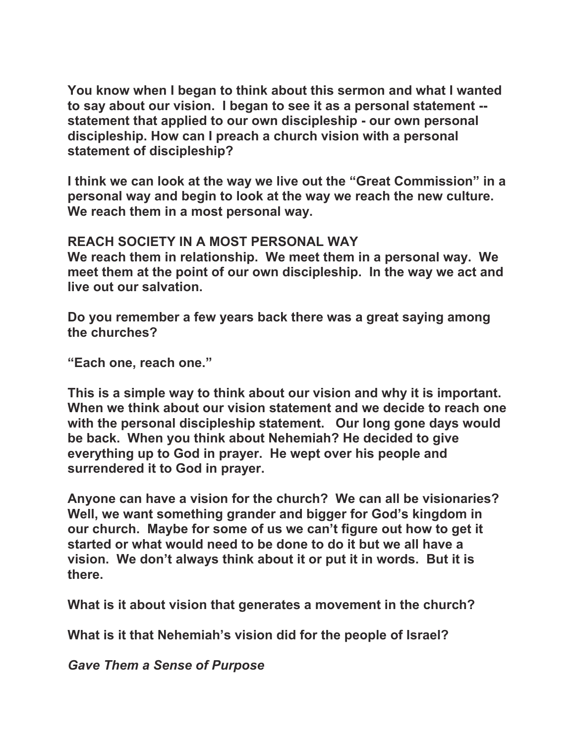**You know when I began to think about this sermon and what I wanted to say about our vision. I began to see it as a personal statement - statement that applied to our own discipleship - our own personal discipleship. How can I preach a church vision with a personal statement of discipleship?** 

**I think we can look at the way we live out the "Great Commission" in a personal way and begin to look at the way we reach the new culture. We reach them in a most personal way.** 

**REACH SOCIETY IN A MOST PERSONAL WAY** 

**We reach them in relationship. We meet them in a personal way. We meet them at the point of our own discipleship. In the way we act and live out our salvation.** 

**Do you remember a few years back there was a great saying among the churches?** 

**"Each one, reach one."** 

**This is a simple way to think about our vision and why it is important. When we think about our vision statement and we decide to reach one with the personal discipleship statement. Our long gone days would be back. When you think about Nehemiah? He decided to give everything up to God in prayer. He wept over his people and surrendered it to God in prayer.** 

**Anyone can have a vision for the church? We can all be visionaries? Well, we want something grander and bigger for God's kingdom in our church. Maybe for some of us we can't figure out how to get it started or what would need to be done to do it but we all have a vision. We don't always think about it or put it in words. But it is there.** 

**What is it about vision that generates a movement in the church?** 

**What is it that Nehemiah's vision did for the people of Israel?** 

*Gave Them a Sense of Purpose*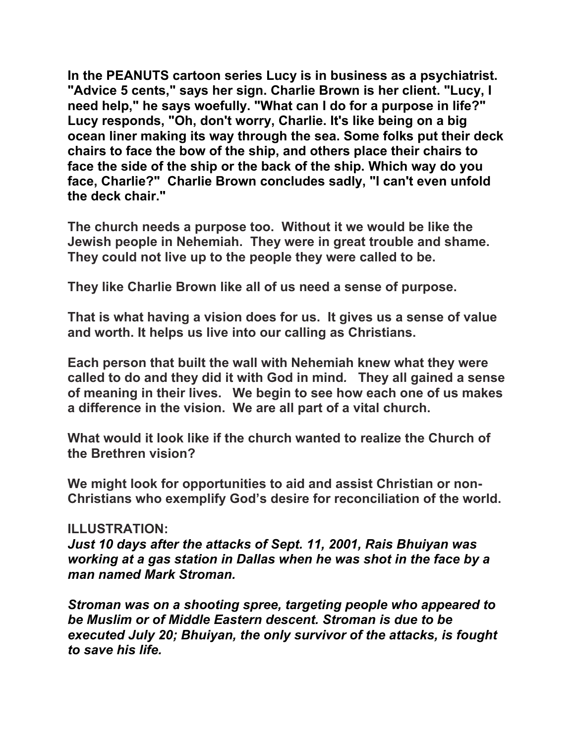**In the PEANUTS cartoon series Lucy is in business as a psychiatrist. "Advice 5 cents," says her sign. Charlie Brown is her client. "Lucy, I need help," he says woefully. "What can I do for a purpose in life?" Lucy responds, "Oh, don't worry, Charlie. It's like being on a big ocean liner making its way through the sea. Some folks put their deck chairs to face the bow of the ship, and others place their chairs to face the side of the ship or the back of the ship. Which way do you face, Charlie?" Charlie Brown concludes sadly, "I can't even unfold the deck chair."** 

**The church needs a purpose too. Without it we would be like the Jewish people in Nehemiah. They were in great trouble and shame. They could not live up to the people they were called to be.** 

**They like Charlie Brown like all of us need a sense of purpose.** 

**That is what having a vision does for us. It gives us a sense of value and worth. It helps us live into our calling as Christians.** 

**Each person that built the wall with Nehemiah knew what they were called to do and they did it with God in mind***.* **They all gained a sense of meaning in their lives. We begin to see how each one of us makes a difference in the vision. We are all part of a vital church.** 

**What would it look like if the church wanted to realize the Church of the Brethren vision?** 

**We might look for opportunities to aid and assist Christian or non-Christians who exemplify God's desire for reconciliation of the world.** 

#### **ILLUSTRATION:**

*Just 10 days after the attacks of Sept. 11, 2001, Rais Bhuiyan was working at a gas station in Dallas when he was shot in the face by a man named Mark Stroman.* 

*Stroman was on a shooting spree, targeting people who appeared to be Muslim or of Middle Eastern descent. Stroman is due to be executed July 20; Bhuiyan, the only survivor of the attacks, is fought to save his life.*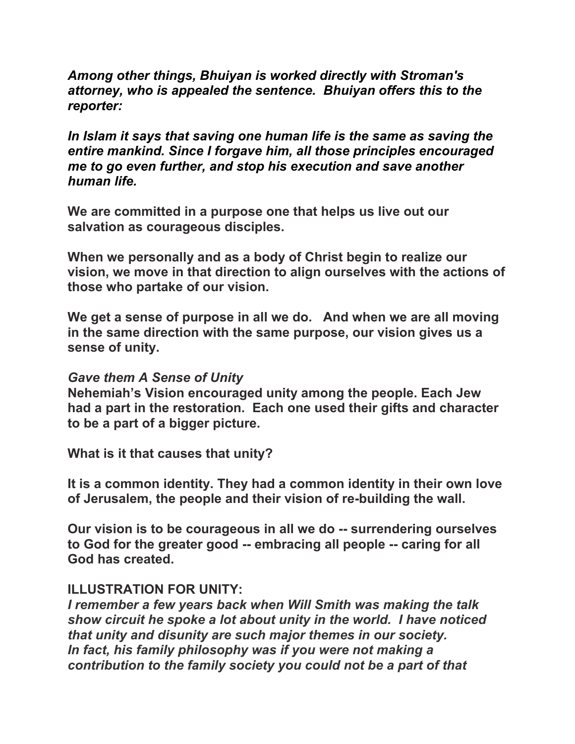*Among other things, Bhuiyan is worked directly with Stroman's attorney, who is appealed the sentence. Bhuiyan offers this to the reporter:* 

*In Islam it says that saving one human life is the same as saving the entire mankind. Since I forgave him, all those principles encouraged me to go even further, and stop his execution and save another human life.* 

**We are committed in a purpose one that helps us live out our salvation as courageous disciples.** 

**When we personally and as a body of Christ begin to realize our vision, we move in that direction to align ourselves with the actions of those who partake of our vision.** 

**We get a sense of purpose in all we do. And when we are all moving in the same direction with the same purpose, our vision gives us a sense of unity.** 

#### *Gave them A Sense of Unity*

**Nehemiah's Vision encouraged unity among the people. Each Jew had a part in the restoration. Each one used their gifts and character to be a part of a bigger picture.** 

**What is it that causes that unity?** 

**It is a common identity. They had a common identity in their own love of Jerusalem, the people and their vision of re-building the wall.** 

**Our vision is to be courageous in all we do -- surrendering ourselves to God for the greater good -- embracing all people -- caring for all God has created.** 

## **ILLUSTRATION FOR UNITY:**

*I remember a few years back when Will Smith was making the talk show circuit he spoke a lot about unity in the world. I have noticed that unity and disunity are such major themes in our society. In fact, his family philosophy was if you were not making a contribution to the family society you could not be a part of that*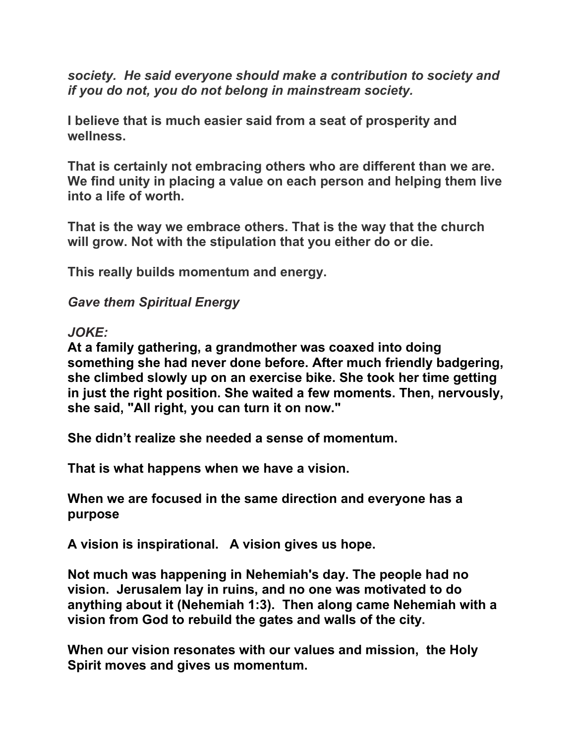*society. He said everyone should make a contribution to society and if you do not, you do not belong in mainstream society.*

**I believe that is much easier said from a seat of prosperity and wellness.** 

**That is certainly not embracing others who are different than we are. We find unity in placing a value on each person and helping them live into a life of worth.** 

**That is the way we embrace others. That is the way that the church will grow. Not with the stipulation that you either do or die.** 

**This really builds momentum and energy.** 

*Gave them Spiritual Energy* 

*JOKE:* 

**At a family gathering, a grandmother was coaxed into doing something she had never done before. After much friendly badgering, she climbed slowly up on an exercise bike. She took her time getting in just the right position. She waited a few moments. Then, nervously, she said, "All right, you can turn it on now."** 

**She didn't realize she needed a sense of momentum.** 

**That is what happens when we have a vision.** 

**When we are focused in the same direction and everyone has a purpose** 

**A vision is inspirational. A vision gives us hope.** 

**Not much was happening in Nehemiah's day. The people had no vision. Jerusalem lay in ruins, and no one was motivated to do anything about it (Nehemiah 1:3). Then along came Nehemiah with a vision from God to rebuild the gates and walls of the city.** 

**When our vision resonates with our values and mission, the Holy Spirit moves and gives us momentum.**